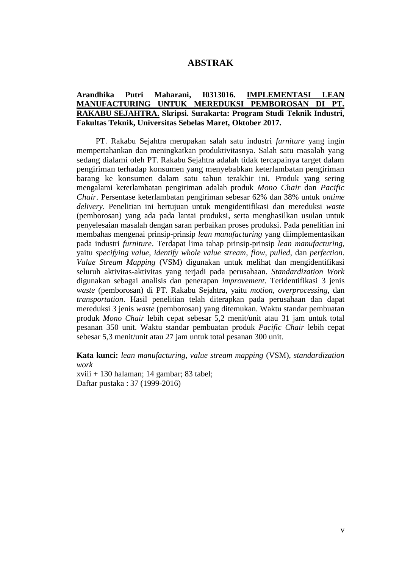## **ABSTRAK**

## **Arandhika Putri Maharani, I0313016. IMPLEMENTASI LEAN MANUFACTURING UNTUK MEREDUKSI PEMBOROSAN DI PT. RAKABU SEJAHTRA. Skripsi. Surakarta: Program Studi Teknik Industri, Fakultas Teknik, Universitas Sebelas Maret, Oktober 2017.**

PT. Rakabu Sejahtra merupakan salah satu industri *furniture* yang ingin mempertahankan dan meningkatkan produktivitasnya. Salah satu masalah yang sedang dialami oleh PT. Rakabu Sejahtra adalah tidak tercapainya target dalam pengiriman terhadap konsumen yang menyebabkan keterlambatan pengiriman barang ke konsumen dalam satu tahun terakhir ini. Produk yang sering mengalami keterlambatan pengiriman adalah produk *Mono Chair* dan *Pacific Chair*. Persentase keterlambatan pengiriman sebesar 62% dan 38% untuk *ontime delivery*. Penelitian ini bertujuan untuk mengidentifikasi dan mereduksi *waste* (pemborosan) yang ada pada lantai produksi, serta menghasilkan usulan untuk penyelesaian masalah dengan saran perbaikan proses produksi. Pada penelitian ini membahas mengenai prinsip-prinsip *lean manufacturing* yang diimplementasikan pada industri *furniture*. Terdapat lima tahap prinsip-prinsip *lean manufacturing*, yaitu *specifying value*, *identify whole value stream*, *flow*, *pulled*, dan *perfection*. *Value Stream Mapping* (VSM) digunakan untuk melihat dan mengidentifikasi seluruh aktivitas-aktivitas yang terjadi pada perusahaan. *Standardization Work* digunakan sebagai analisis dan penerapan *improvement*. Teridentifikasi 3 jenis *waste* (pemborosan) di PT. Rakabu Sejahtra, yaitu *motion*, *overprocessing*, dan *transportation*. Hasil penelitian telah diterapkan pada perusahaan dan dapat mereduksi 3 jenis *waste* (pemborosan) yang ditemukan. Waktu standar pembuatan produk *Mono Chair* lebih cepat sebesar 5,2 menit/unit atau 31 jam untuk total pesanan 350 unit. Waktu standar pembuatan produk *Pacific Chair* lebih cepat sebesar 5,3 menit/unit atau 27 jam untuk total pesanan 300 unit.

**Kata kunci:** *lean manufacturing*, *value stream mapping* (VSM), *standardization work* xviii + 130 halaman; 14 gambar; 83 tabel;

Daftar pustaka : 37 (1999-2016)